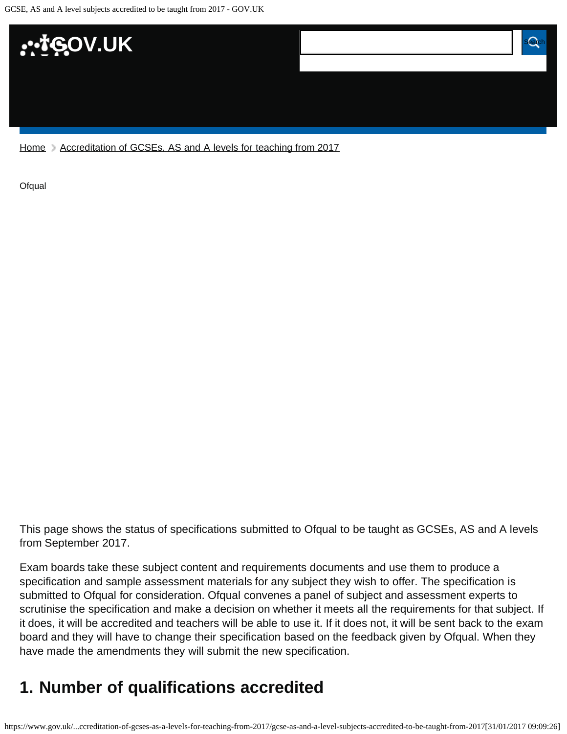

[Home](https://www.gov.uk/) > [Accreditation of GCSEs, AS and A levels for teaching from 2017](https://www.gov.uk/government/publications/accreditation-of-gcses-as-a-levels-for-teaching-from-2017)

**[Ofqual](https://www.gov.uk/government/organisations/ofqual)** 

This page shows the status of specifications submitted to Ofqual to be taught as GCSEs, AS and A levels from September 2017.

Exam boards take these subject content and requirements documents and use them to produce a specification and sample assessment materials for any subject they wish to offer. The specification is submitted to Ofqual for consideration. Ofqual convenes a panel of subject and assessment experts to scrutinise the specification and make a decision on whether it meets all the requirements for that subject. If it does, it will be accredited and teachers will be able to use it. If it does not, it will be sent back to the exam board and they will have to change their specification based on the feedback given by Ofqual. When they have made the amendments they will submit the new specification.

# <span id="page-0-0"></span>**1. Number of qualifications accredited**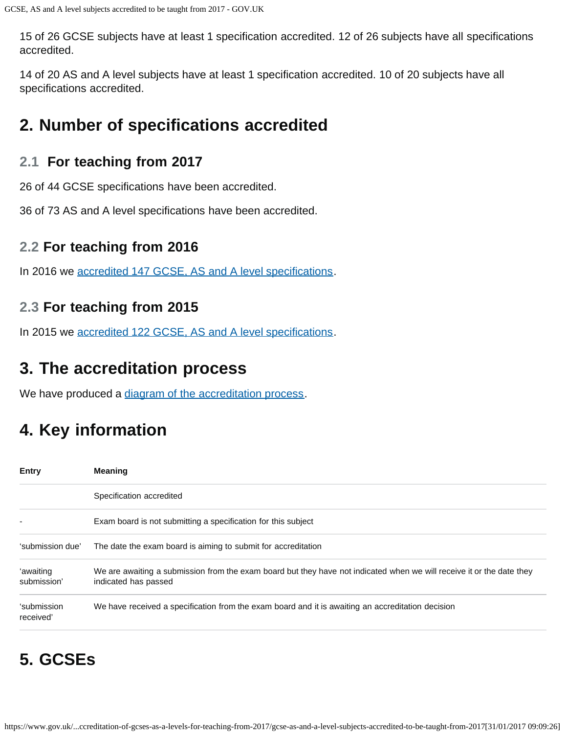15 of 26 GCSE subjects have at least 1 specification accredited. 12 of 26 subjects have all specifications accredited.

14 of 20 AS and A level subjects have at least 1 specification accredited. 10 of 20 subjects have all specifications accredited.

## <span id="page-1-0"></span>**2. Number of specifications accredited**

## **2.1 For teaching from 2017**

26 of 44 GCSE specifications have been accredited.

36 of 73 AS and A level specifications have been accredited.

### **2.2 For teaching from 2016**

In 2016 we [accredited 147 GCSE, AS and A level specifications.](https://www.gov.uk/government/publications/accreditation-of-gcses-as-a-levels-for-teaching-from-2016)

## **2.3 For teaching from 2015**

In 2015 we [accredited 122 GCSE, AS and A level specifications.](https://www.gov.uk/government/publications/new-gcses-as-and-a-levels-accredited-to-be-taught-from-2015)

## <span id="page-1-1"></span>**3. The accreditation process**

We have produced a [diagram of the accreditation process.](https://www.gov.uk/government/publications/your-qualification-our-regulation-gcse-as-and-a-level-reforms#attachment_1634078)

# <span id="page-1-2"></span>**4. Key information**

| <b>Entry</b>             | <b>Meaning</b>                                                                                                                                |
|--------------------------|-----------------------------------------------------------------------------------------------------------------------------------------------|
|                          | Specification accredited                                                                                                                      |
|                          | Exam board is not submitting a specification for this subject                                                                                 |
| 'submission due'         | The date the exam board is aiming to submit for accreditation                                                                                 |
| 'awaiting<br>submission' | We are awaiting a submission from the exam board but they have not indicated when we will receive it or the date they<br>indicated has passed |
| 'submission<br>received' | We have received a specification from the exam board and it is awaiting an accreditation decision                                             |

# <span id="page-1-3"></span>**5. GCSEs**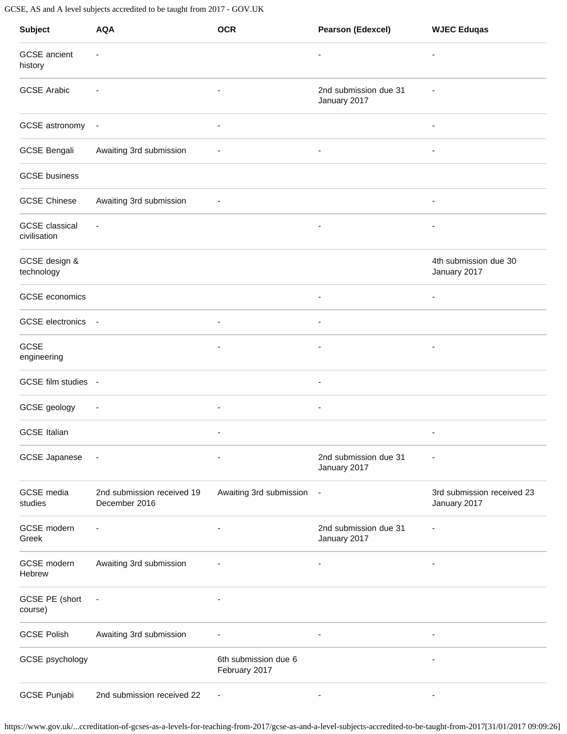| <b>Subject</b>                        | <b>AQA</b>                                  | <b>OCR</b>                            | <b>Pearson (Edexcel)</b>              | <b>WJEC Eduqas</b>                         |
|---------------------------------------|---------------------------------------------|---------------------------------------|---------------------------------------|--------------------------------------------|
| <b>GCSE</b> ancient<br>history        | $\overline{\phantom{a}}$                    |                                       | $\overline{\phantom{m}}$              | $\overline{\phantom{m}}$                   |
| <b>GCSE Arabic</b>                    |                                             | $\overline{\phantom{a}}$              | 2nd submission due 31<br>January 2017 |                                            |
| GCSE astronomy -                      |                                             | $\overline{a}$                        |                                       |                                            |
| <b>GCSE Bengali</b>                   | Awaiting 3rd submission                     |                                       | -                                     | ٠                                          |
| <b>GCSE</b> business                  |                                             |                                       |                                       |                                            |
| <b>GCSE Chinese</b>                   | Awaiting 3rd submission                     | $\overline{\phantom{a}}$              |                                       | ٠                                          |
| <b>GCSE</b> classical<br>civilisation | $\overline{\phantom{a}}$                    |                                       |                                       |                                            |
| GCSE design &<br>technology           |                                             |                                       |                                       | 4th submission due 30<br>January 2017      |
| GCSE economics                        |                                             |                                       | $\overline{\phantom{m}}$              | $\overline{\phantom{m}}$                   |
| GCSE electronics -                    |                                             | $\overline{\phantom{a}}$              | -                                     |                                            |
| GCSE<br>engineering                   |                                             | $\overline{\phantom{a}}$              | $\overline{\phantom{m}}$              | $\overline{\phantom{m}}$                   |
| GCSE film studies -                   |                                             |                                       |                                       |                                            |
| GCSE geology                          | $\overline{\phantom{a}}$                    | $\overline{a}$                        | ۰                                     |                                            |
| <b>GCSE Italian</b>                   |                                             |                                       |                                       |                                            |
| <b>GCSE Japanese</b>                  | $\overline{\phantom{a}}$                    |                                       | 2nd submission due 31<br>January 2017 |                                            |
| <b>GCSE</b> media<br>studies          | 2nd submission received 19<br>December 2016 | Awaiting 3rd submission               | $\overline{\phantom{a}}$              | 3rd submission received 23<br>January 2017 |
| GCSE modern<br>Greek                  | $\overline{\phantom{a}}$                    | $\overline{a}$                        | 2nd submission due 31<br>January 2017 | $\overline{\phantom{a}}$                   |
| GCSE modern<br>Hebrew                 | Awaiting 3rd submission                     |                                       | $\overline{\phantom{a}}$              | ٠                                          |
| GCSE PE (short<br>course)             | $\overline{\phantom{a}}$                    |                                       |                                       |                                            |
| <b>GCSE Polish</b>                    | Awaiting 3rd submission                     | $\overline{a}$                        | ٠                                     | ٠                                          |
| GCSE psychology                       |                                             | 6th submission due 6<br>February 2017 |                                       |                                            |
| <b>GCSE Punjabi</b>                   | 2nd submission received 22                  | ÷,                                    |                                       |                                            |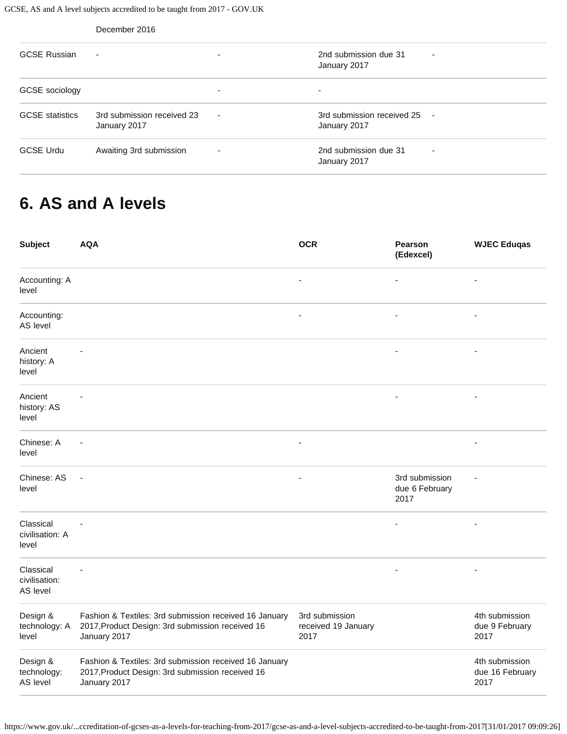|                        | December 2016                              |                          |                                              |                          |
|------------------------|--------------------------------------------|--------------------------|----------------------------------------------|--------------------------|
| <b>GCSE Russian</b>    | $\blacksquare$                             | $\overline{\phantom{a}}$ | 2nd submission due 31<br>January 2017        | $\overline{\phantom{a}}$ |
| GCSE sociology         |                                            | ۰                        |                                              |                          |
| <b>GCSE</b> statistics | 3rd submission received 23<br>January 2017 | $\overline{\phantom{a}}$ | 3rd submission received 25 -<br>January 2017 |                          |
| <b>GCSE Urdu</b>       | Awaiting 3rd submission                    | $\overline{\phantom{a}}$ | 2nd submission due 31<br>January 2017        | ٠                        |

## <span id="page-3-0"></span>**6. AS and A levels**

| <b>Subject</b>                         | <b>AQA</b>                                                                                                                 | <b>OCR</b>                                    | <b>Pearson</b><br>(Edexcel)              | <b>WJEC Eduqas</b>                        |
|----------------------------------------|----------------------------------------------------------------------------------------------------------------------------|-----------------------------------------------|------------------------------------------|-------------------------------------------|
| Accounting: A<br>level                 |                                                                                                                            |                                               | ä,                                       |                                           |
| Accounting:<br>AS level                |                                                                                                                            |                                               | ٠                                        |                                           |
| Ancient<br>history: A<br>level         |                                                                                                                            |                                               |                                          |                                           |
| Ancient<br>history: AS<br>level        |                                                                                                                            |                                               | ä,                                       | $\blacksquare$                            |
| Chinese: A<br>level                    |                                                                                                                            |                                               |                                          |                                           |
| Chinese: AS<br>level                   | <u>.</u>                                                                                                                   |                                               | 3rd submission<br>due 6 February<br>2017 |                                           |
| Classical<br>civilisation: A<br>level  |                                                                                                                            |                                               | $\overline{a}$                           | ٠                                         |
| Classical<br>civilisation:<br>AS level |                                                                                                                            |                                               | $\overline{a}$                           |                                           |
| Design &<br>technology: A<br>level     | Fashion & Textiles: 3rd submission received 16 January<br>2017, Product Design: 3rd submission received 16<br>January 2017 | 3rd submission<br>received 19 January<br>2017 |                                          | 4th submission<br>due 9 February<br>2017  |
| Design &<br>technology:<br>AS level    | Fashion & Textiles: 3rd submission received 16 January<br>2017, Product Design: 3rd submission received 16<br>January 2017 |                                               |                                          | 4th submission<br>due 16 February<br>2017 |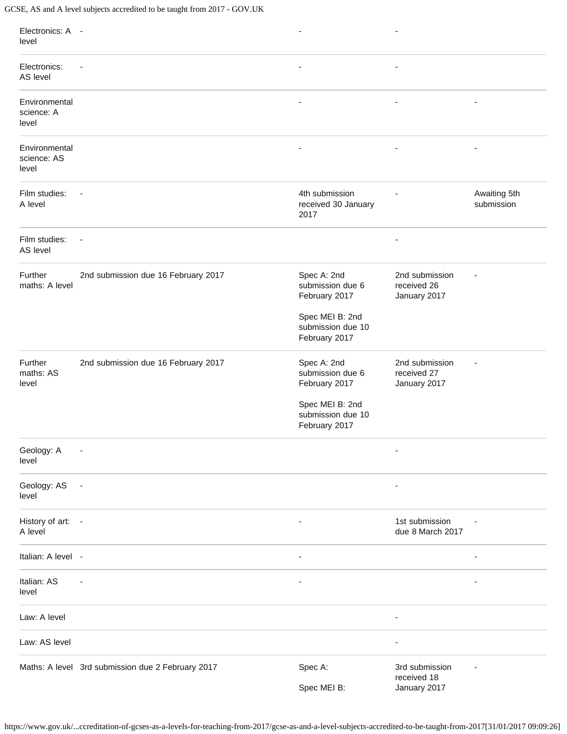| Electronics: A -<br>level             |                                                   | $\overline{\phantom{a}}$                              | $\overline{a}$                                |                            |
|---------------------------------------|---------------------------------------------------|-------------------------------------------------------|-----------------------------------------------|----------------------------|
| Electronics:<br>AS level              |                                                   |                                                       |                                               |                            |
| Environmental<br>science: A<br>level  |                                                   |                                                       |                                               |                            |
| Environmental<br>science: AS<br>level |                                                   |                                                       |                                               | ٠                          |
| Film studies:<br>A level              |                                                   | 4th submission<br>received 30 January<br>2017         |                                               | Awaiting 5th<br>submission |
| Film studies:<br>AS level             | $\blacksquare$                                    |                                                       |                                               |                            |
| Further<br>maths: A level             | 2nd submission due 16 February 2017               | Spec A: 2nd<br>submission due 6<br>February 2017      | 2nd submission<br>received 26<br>January 2017 |                            |
|                                       |                                                   | Spec MEI B: 2nd<br>submission due 10<br>February 2017 |                                               |                            |
| Further<br>maths: AS<br>level         | 2nd submission due 16 February 2017               | Spec A: 2nd<br>submission due 6<br>February 2017      | 2nd submission<br>received 27<br>January 2017 |                            |
|                                       |                                                   | Spec MEI B: 2nd<br>submission due 10<br>February 2017 |                                               |                            |
| Geology: A<br>level                   |                                                   |                                                       |                                               |                            |
| Geology: AS<br>level                  | $\overline{\phantom{a}}$                          |                                                       |                                               |                            |
| History of art: -<br>A level          |                                                   | $\overline{a}$                                        | 1st submission<br>due 8 March 2017            |                            |
| Italian: A level -                    |                                                   | $\overline{\phantom{a}}$                              |                                               | ٠                          |
| Italian: AS<br>level                  |                                                   |                                                       |                                               |                            |
| Law: A level                          |                                                   |                                                       | $\overline{a}$                                |                            |
| Law: AS level                         |                                                   |                                                       | $\overline{a}$                                |                            |
|                                       | Maths: A level 3rd submission due 2 February 2017 | Spec A:                                               | 3rd submission<br>received 18                 |                            |
|                                       |                                                   | Spec MEI B:                                           | January 2017                                  |                            |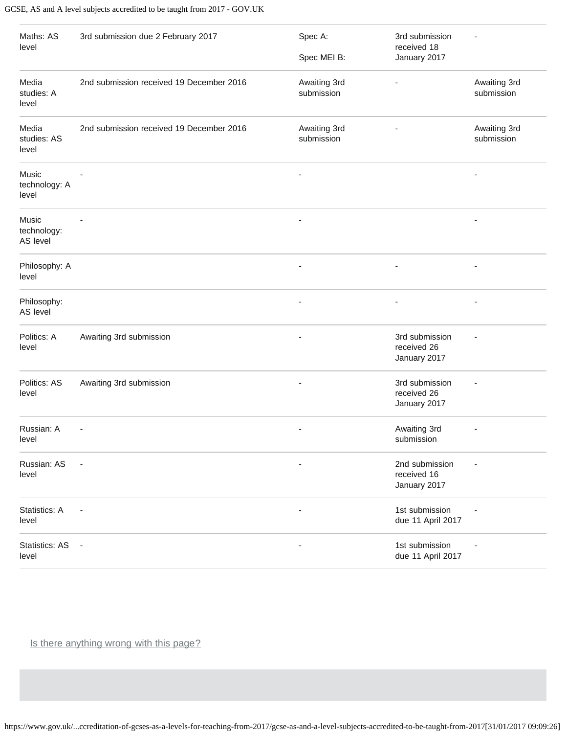| Maths: AS<br>level               | 3rd submission due 2 February 2017       | Spec A:<br>Spec MEI B:     | 3rd submission<br>received 18<br>January 2017 |                            |
|----------------------------------|------------------------------------------|----------------------------|-----------------------------------------------|----------------------------|
| Media<br>studies: A<br>level     | 2nd submission received 19 December 2016 | Awaiting 3rd<br>submission |                                               | Awaiting 3rd<br>submission |
| Media<br>studies: AS<br>level    | 2nd submission received 19 December 2016 | Awaiting 3rd<br>submission |                                               | Awaiting 3rd<br>submission |
| Music<br>technology: A<br>level  |                                          |                            |                                               |                            |
| Music<br>technology:<br>AS level |                                          |                            |                                               |                            |
| Philosophy: A<br>level           |                                          |                            |                                               |                            |
| Philosophy:<br>AS level          |                                          |                            |                                               | ÷                          |
| Politics: A<br>level             | Awaiting 3rd submission                  |                            | 3rd submission<br>received 26<br>January 2017 |                            |
| Politics: AS<br>level            | Awaiting 3rd submission                  | $\overline{a}$             | 3rd submission<br>received 26<br>January 2017 |                            |
| Russian: A<br>level              |                                          |                            | Awaiting 3rd<br>submission                    |                            |
| Russian: AS<br>level             |                                          |                            | 2nd submission<br>received 16<br>January 2017 |                            |
| Statistics: A<br>level           |                                          | ÷,                         | 1st submission<br>due 11 April 2017           |                            |
| <b>Statistics: AS</b><br>level   | $\blacksquare$                           | ٠                          | 1st submission<br>due 11 April 2017           |                            |

Is there anything wrong with this page?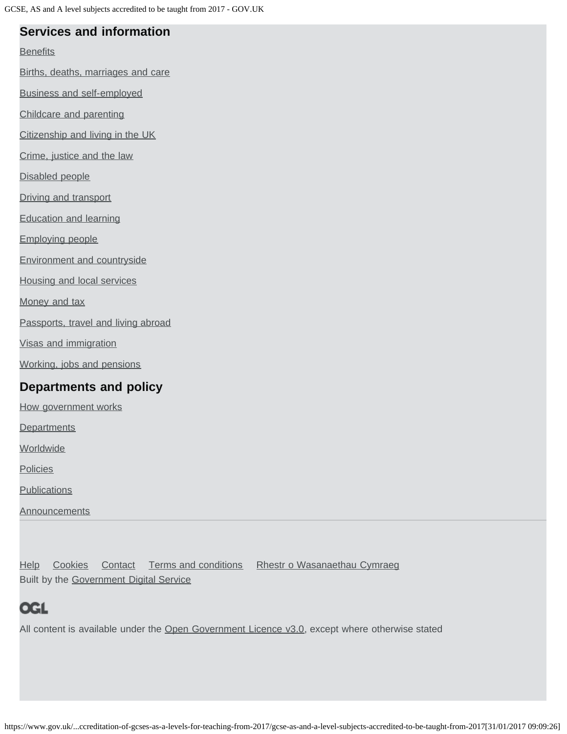### **Services and information**

**[Benefits](https://www.gov.uk/browse/benefits)** 

[Births, deaths, marriages and care](https://www.gov.uk/browse/births-deaths-marriages)

[Business and self-employed](https://www.gov.uk/browse/business)

[Childcare and parenting](https://www.gov.uk/browse/childcare-parenting)

[Citizenship and living in the UK](https://www.gov.uk/browse/citizenship)

[Crime, justice and the law](https://www.gov.uk/browse/justice)

[Disabled people](https://www.gov.uk/browse/disabilities)

[Driving and transport](https://www.gov.uk/browse/driving)

[Education and learning](https://www.gov.uk/browse/education)

[Employing people](https://www.gov.uk/browse/employing-people)

[Environment and countryside](https://www.gov.uk/browse/environment-countryside)

[Housing and local services](https://www.gov.uk/browse/housing-local-services)

[Money and tax](https://www.gov.uk/browse/tax)

[Passports, travel and living abroad](https://www.gov.uk/browse/abroad)

[Visas and immigration](https://www.gov.uk/browse/visas-immigration)

[Working, jobs and pensions](https://www.gov.uk/browse/working)

### **Departments and policy**

[How government works](https://www.gov.uk/government/how-government-works)

**[Departments](https://www.gov.uk/government/organisations)** 

**[Worldwide](https://www.gov.uk/government/world)** 

**[Policies](https://www.gov.uk/government/policies)** 

**[Publications](https://www.gov.uk/government/publications)** 

**[Announcements](https://www.gov.uk/government/announcements)** 

[Help](https://www.gov.uk/help) [Cookies](https://www.gov.uk/help/cookies) [Contact](https://www.gov.uk/contact) [Terms and conditions](https://www.gov.uk/help/terms-conditions) [Rhestr o Wasanaethau Cymraeg](https://www.gov.uk/cymraeg) Built by the [Government Digital Service](https://www.gov.uk/government/organisations/government-digital-service)

## **OGL**

All content is available under the [Open Government Licence v3.0,](https://www.nationalarchives.gov.uk/doc/open-government-licence/version/3/) except where otherwise stated